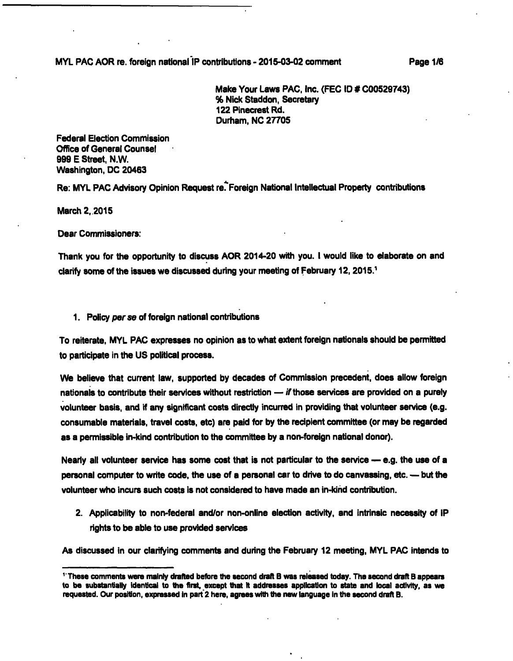**MYL PAC AOR re. foreign national IP contributions - 2015-03-02 comment Page 1/6** 

**Make Your Laws PAC, Inc. (PEG ID # C00529743) % Nick Staddon, Secretary 122 Pinecrest Rd. Durham. NO 27705** 

**Federal Election Commission Office of General Counsel 999 E Street, N.W. Washington, DC 20463** 

Re: MYL PAC Advisory Opinion Request re. Foreign National Intellectual Property contributions

**March 2,2015** 

**Dear Commlssioners:** 

**Thank you for the opportunity to discuss AOR 2014-20 with you. I would like to elaborate on and clarify some of the issues we discussed during your meeting of February 12,2015.^** 

**1. Policy per se of foreign national contributions** 

**To reiterate, MYL PAC expresses no opinion as to what extent foreign nationais should be permitted to participate in the US political process.** 

**We believe that current law, supported by decades of Commission precedent, does allow foreign nationais to contribute their senrices without restriction — /f those senrices are provided on a purely volunteer basis, and if any significant costs directly incurred in providing that volunteer senrice (e.g. consumable materials, travel costs, etc) are paid for by the recipient committee (or may be regarded as a permissible in-kind contribution to the committee by a non-foreign national donor).** 

**Nearly all volunteer senrice has some cost that is not particular to the senrice — e.g. the use of a personal computer to write code, the use of a personal car to drive to do canvassing, etc. — but the volunteer who incurs such costs is not considered to have made an in-kind contribution.** 

**2. Applicability to non-federal and/or non-online election activity, and intrinsic necessity of IP rights to be able to use provided senrices** 

**As discussed in our clarifying comments and during the February 12 meeting, MYL PAC intends to** 

**These comments were mainly drafted before the second draft B was released today. The second draft B appears to be substantially identical to the first, except that it addresses application to state and local activity, as we requested. Our position, expressed in part'2 here, agrees with the new language in the second draft B.**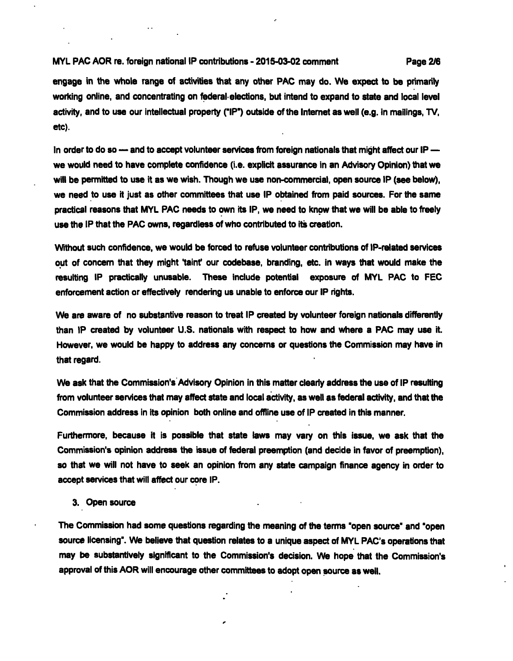## **MYL PAC AOR re. foreign national IP contributions - 2015-03-02 comment Page 2/6**

**engage in the whole range of activities that any other PAC may do. We expect to be piimarily working online, and concentrating on federal-elections, but intend to expand to state and locai level activity, and to use our intellectual property ("IP') outside of the Intemet as well (e.g. In mailings, TV, etc).** 

**in order to do so — and to accept volunteer services from foreign nationals that might affect our IP we would need to have complete confidence (i.e. explicit assurance in an Advisory Opinion) that we will be permitted to use it as we wish. Though we use non-commercial, open source IP (see below), we need to use it just as other committees that use IP obtained from paid sources. For the same practical reasons that MYL PAC needs to own its IP, we need to know that we will be able to fieely use the IP that the PAC owns, regardless of who contributed to its creation.** 

**Without such confidence, we would be forced to refuse volunteer contributions of IP-related services**  out of concern that they might 'taint' our codebase, branding, etc. in ways that would make the **resulting IP practically unusable. These include potential exposure of MYL PAC to PEC enforcement action or effectively rendering us unable to enforce our IP rights.** 

**We are aware of no substantive reason to treat IP created by volunteer foreign nationals differently than IP created by volunteer U.S. nationals with respect to how and where a PAC may use it. However, we would be happy to address any concerns or questions the Commission may have in that regard.** 

**We ask that the Commission's Advisory Opinion in this matter clearly address the use of IP resulting from volunteer services that may affect state and local activity, as well as federal activity, and that the Commission address in its opinion both online and offline use of IP created in this manner.** 

**Furthermore, because it is possible that state laws may vary on this issue, we ask that the Commission's opinion address the issue of federal preemption (and decide in favor of preemption), so that we will not have to seek an opinion from any state campaign finance agency in order to accept services that will affect our core IP.** 

## **3. Open source**

**The Commission had some questions regarding the meaning of the terms 'open source' and 'open source licensing'. We believe that question relates to a unique aspect of MYL PAC's operations that may be substantively significant to the Commission's decision. We hope that the Commission's approval of this AOR will encourage other committees to adopt open source as well.**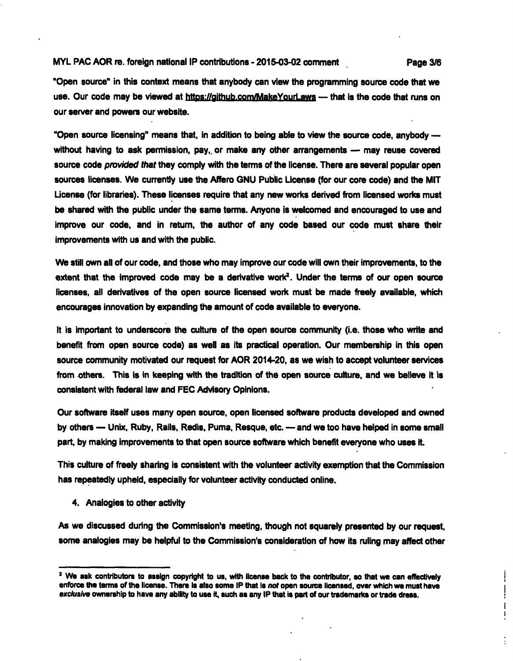## **MYLPACAOR re. foreign national IP contributions-2015-03-02 comment Page 3/6**

**"Open source" in this context means that anybody can view the programming source code that we**  use. Our code may be viewed at https://github.com/MakeYourLaws — that is the code that runs on **our sen/er and powers our website.** 

**"Open source licensing" means that, in addition to being able to view the source code, anybody without having to ask permission, pay,, or make any other arrangements — may reuse covered**  source code *provided that* they comply with the terms of the license. There are several popular open **sources licenses. We currently use the Affero GNU Public License (for our core code) and the MIT License (for libraries). These licenses require that any new works derived from iicensed works must be shared with the public under the same terms. Anyone is welcomed and encouraged to use and improve our code, and in retum, the author of any code based our code must share their improvements with us and with the public.** 

**We still own ail of our code, and those who may improve our code will own their improvements, to the extent that the improved code may be a derivative work'. Under the terms of our open source licenses, ail derivatives of the open source licensed work must be made freely available, which encourages innovation by expanding the amount of code available to everyone.** 

**It is important to underscore the culture of the open source community (i.e. those who write and benefit from open source code) as well as its practical operation. Our membership in this open**  source community motivated our request for AOR 2014-20, as we wish to accept volunteer services **from others. This is in keeping with the tradition of the open source culture, and we believe it is consistent with federal law and FEC Advisory Opinions.** 

**Our software itself uses many open source, open licensed software products developed and owned by others — Unix, Ruby, Rails, Redis, Puma, Resque, etc. — and we too have helped in some small part, by making improvements to that open source software which benefit everyone who uses it.** 

**This culture of freely sharing is consistent with the volunteer activity exemption that the Commission has repeatedly upheld, especially for volunteer activity conducted online.** 

**4. Analogies to other activity** 

**As we discussed during the Commission's meeting, though not squarely presented by our request, some analogies may be helpful to the Commission's consideration of how its ruling may affect other** 

T J,

**<sup>&#</sup>x27; We ask contributors to assign copyright to us, with Iicense back to the contributor, so that we can effectively**  enforce the terms of the license. There is also some IP that is not open source licensed, over which we must have exclusive ownership to have any ability to use it, such as any IP that is part of our trademarks or trade dress.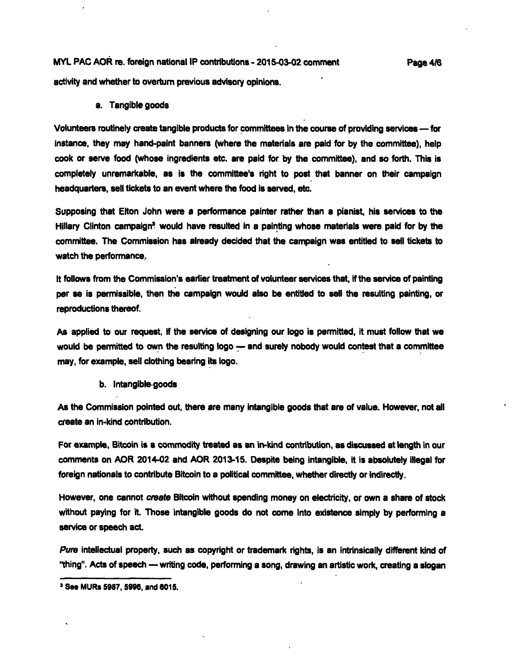**MYL PAC AOR re. foreign national IP contributions - 2015-03-02 comment Page 4/6 activity and whether to overturn previous advisory opinions.** 

**a. Tangible goods** 

Volunteers routinely create tangible products for committees in the course of providing services - for **Instance, they may hand-paint banners (where the materials are paid for by the committee), help cook or senre food (whose Ingredients etc. are paid for by the committee), and so forth. This is completely unremarkable, as is the committee's right to post that banner on their campaign headquarters, sell tickets to an event where the food is served, etc.** 

**Supposing that Elton John were a perfomnance painter rather than a pianist, his services to the**  Hillary Clinton campaign<sup>3</sup> would have resulted in a painting whose materials were paid for by the **committee. The Commission has already decided that the campaign was entitled to sell tickets to watch the performance,** 

**It follows from the Commission's earlier treatment of volunteer services that. If the service of painting per se Is permissible, then the campaign would also be entitled to sell the resulting painting, or reproductions thereof.** 

**As applied to our request, If the service of designing our logo is permitted, it must follow that we**  would be permitted to own the resulting logo -- and surely nobody would contest that a committee **may, for example, sell clothing bearing Its logo.** 

**b. Intangible goods** 

As the Commission pointed out, there are many intangible goods that are of value. However, not all **create an In-kind contribution.** 

For example, Bitcoin is a commodity treated as an in-kind contribution, as discussed at length in our comments on AOR 2014-02 and AOR 2013-15. Despite being intangible, it is absolutely illegal for foreign nationals to contribute Bitcoin to a political committee, whether directly or indirectly.

However, one cannot create Bitcoin without spending money on electricity, or own a share of stock **without paying for it. Those intangible goods do not come Into existence simply by performing a**  service or speech act.

Pure intellectual property, such as copyright or trademark rights, is an intrinsically different kind of **"thing". Acts of speech — writing code, performing a song, drawing an artistic work, creating a slogan** 

**a See MURs 5987, 5996, and 6015.**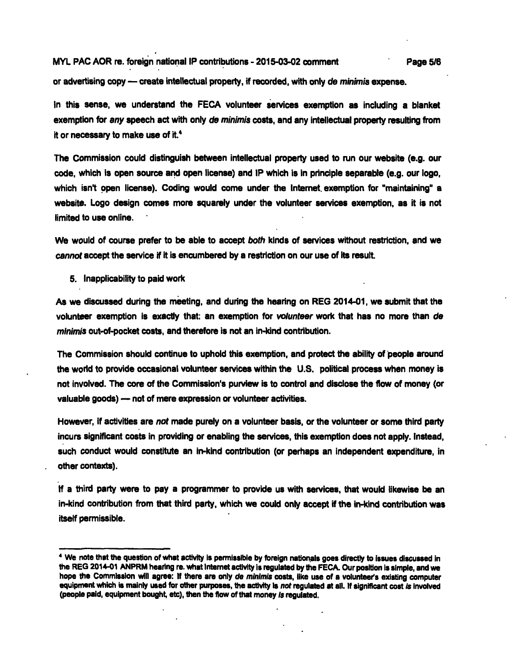**MYL PAC AOR re. foreign national IP contributions - 2015-03-02 comment Page 5/6** 

**or advertising copy — create intellectual property, if recorded, with only de minimis expense.** 

In this sense, we understand the FECA volunteer services exemption as including a blanket **exemption for any speech act with only de minimis costs, and any intellectual property resulting from it or necessary to make use of it.\*** 

**The Commission could distinguish between intellectual property used to run our website (e.g. our code, which is open source arid open license) and IP which is in principle separable (e.g. our logo,**  which isn't open license). Coding would come under the Internet exemption for "maintaining" a **website. Logo design comes more squarely under the volunteer services exemption, as it is not limited to use oniine.** 

**We would of course prefer to be able to accept both kinds of services without restriction, and we cannot accept the sen/ice if it is encumbered by a restriction on our use of its result.** 

**5. Inapplicability to paid work** 

**As we discussed during the meeting, and during the hearing on REG 2014-01, we submit that the volunteer exemption is exactly that: an exemption for volunteer work that has no more than de minimis out-of-pocket costs, and therefore is not an in-kind contribution.** 

**The Commission should continue to uphold this exemption, and protect the ability of people around the world to provide occasional volunteer services within the U.S. political process when money is not involved. The core of the Commission's purview is to control and disclose the flow of money (or valuable goods) — not of mere expression or volunteer activities.** 

**However, if activities are not made purely on a volunteer basis, or the volunteer or some third party incurs significant costs in providing or enabling the services, this exemption does not apply. Instead, such conduct would constitute an in-kind contribution (or perhaps an independent expenditure, in other contexts).** 

**If a third party were to pay a programmer to provide us with services, that would likewise be an in-kind contribution from that third party, which we could only accept if the in-kind contribution was itself permissible.** 

<sup>&</sup>lt;sup>4</sup> We note that the question of what activity is permissible by foreign nationals goes directly to issues discussed in **the REG 2014-01 ANPRM hearing re. what Internet activity is regulated by the FECA. Our position is simple, and we hope the Commission will agree: If there are only de minimis costs, like use of a volunteer's existing computer**  equipment which is mainly used for other purposes, the activity is not regulated at all. If significant cost is involved **(people paid, equipment bought, etc), then the flow of that money is regulated.**